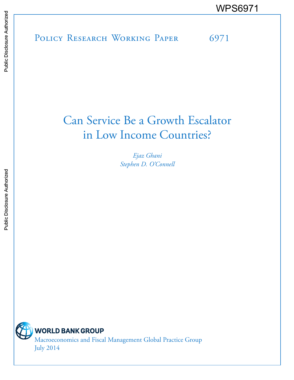POLICY RESEARCH WORKING PAPER 6971 WPS6971<br>
Media<br>
Media<br>
Band<br>
Band<br>
Band<br>
Band<br>
Band<br>
Band<br>
Band<br>
Band<br>
Band<br>
Band<br>
Band<br>
Band<br>
Band<br>
Band<br>
Band<br>
Band<br>
Band<br>
Band<br>
Band<br>
Band<br>
Band<br>
Band<br>
Band<br>
Band<br>
Band<br>
Band<br>
Band<br>
Band<br>
Band<br>
Band<br>
Band<br>
Band<br>
Band<br>
B

# Can Service Be a Growth Escalator in Low Income Countries?

*Ejaz Ghani Stephen D. O'Connell*

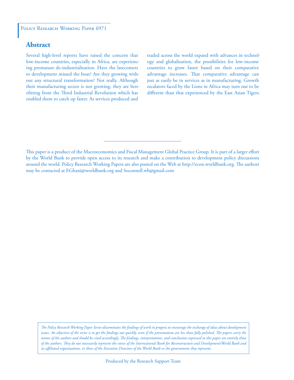### **Abstract**

Several high-level reports have raised the concern that low-income countries, especially in Africa, are experiencing premature de-industrialization. Have the latecomers to development missed the boat? Are they growing without any structural transformation? Not really. Although their manufacturing sector is not growing, they are benefitting from the Third Industrial Revolution which has enabled them to catch up faster. As services produced and

traded across the world expand with advances in technology and globalization, the possibilities for low-income countries to grow faster based on their comparative advantage increases. That comparative advantage can just as easily be in services as in manufacturing. Growth escalators faced by the Lions in Africa may turn out to be different than that experienced by the East Asian Tigers.

This paper is a product of the Macroeconomics and Fiscal Management Global Practice Group. It is part of a larger effort by the World Bank to provide open access to its research and make a contribution to development policy discussions around the world. Policy Research Working Papers are also posted on the Web at http://econ.worldbank.org. The authors may be contacted at EGhani@worldbank.org and Soconnell.wb@gmail.com

*The Policy Research Working Paper Series disseminates the findings of work in progress to encourage the exchange of ideas about development*  issues. An objective of the series is to get the findings out quickly, even if the presentations are less than fully polished. The papers carry the *names of the authors and should be cited accordingly. The findings, interpretations, and conclusions expressed in this paper are entirely those of the authors. They do not necessarily represent the views of the International Bank for Reconstruction and Development/World Bank and its affiliated organizations, or those of the Executive Directors of the World Bank or the governments they represent.*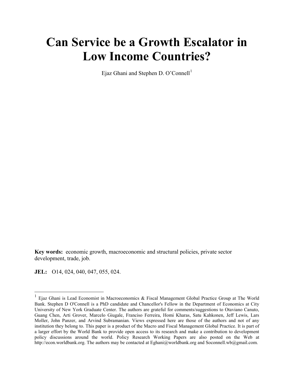# **Can Service be a Growth Escalator in Low Income Countries?**

Ejaz Ghani and Stephen D. O'Connell<sup>[1](#page-2-0)</sup>

**Key words:** economic growth, macroeconomic and structural policies, private sector development, trade, job.

**JEL:** O14, 024, 040, 047, 055, 024.

<span id="page-2-0"></span><sup>&</sup>lt;sup>1</sup> Ejaz Ghani is Lead Economist in Macroeconomics & Fiscal Management Global Practice Group at The World Bank. Stephen D O'Connell is a PhD candidate and Chancellor's Fellow in the Department of Economics at City University of New York Graduate Center. The authors are grateful for comments/suggestions to Otaviano Canuto, Guang Chen, Arti Grover, Marcelo Giugale, Franciso Ferreira, Homi Kharas, Satu Kahkonen, Jeff Lewis, Lars Moller, John Panzer, and Arvind Subramanian. Views expressed here are those of the authors and not of any institution they belong to. This paper is a product of the Macro and Fiscal Management Global Practice. It is part of a larger effort by the World Bank to provide open access to its research and make a contribution to development policy discussions around the world. Policy Research Working Papers are also posted on the Web at http://econ.worldbank.org. The authors may be contacted at Eghani@worldbank.org and Soconnell.wb@gmail.com.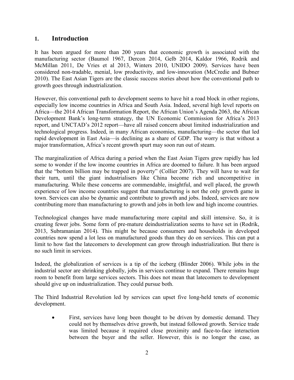## **1. Introduction**

It has been argued for more than 200 years that economic growth is associated with the manufacturing sector (Baumol 1967, Dercon 2014, Gelb 2014, Kaldor 1966, Rodrik and McMillan 2011, De Vries et al 2013, Winters 2010, UNIDO 2009). Services have been considered non-tradable, menial, low productivity, and low-innovation (McCredie and Bubner 2010). The East Asian Tigers are the classic success stories about how the conventional path to growth goes through industrialization.

However, this conventional path to development seems to have hit a road block in other regions, especially low income countries in Africa and South Asia. Indeed, several high level reports on Africa—the 2014 African Transformation Report, the African Union's Agenda 2063, the African Development Bank's long-term strategy, the UN Economic Commission for Africa's 2013 report, and UNCTAD's 2012 report—have all raised concern about limited industrialization and technological progress. Indeed, in many African economies, manufacturing—the sector that led rapid development in East Asia—is declining as a share of GDP. The worry is that without a major transformation, Africa's recent growth spurt may soon run out of steam.

The marginalization of Africa during a period when the East Asian Tigers grew rapidly has led some to wonder if the low income countries in Africa are doomed to failure. It has been argued that the "bottom billion may be trapped in poverty" (Collier 2007). They will have to wait for their turn, until the giant industrialisers like China become rich and uncompetitive in manufacturing. While these concerns are commendable, insightful, and well placed, the growth experience of low income countries suggest that manufacturing is not the only growth game in town. Services can also be dynamic and contribute to growth and jobs. Indeed, services are now contributing more than manufacturing to growth and jobs in both low and high income countries.

Technological changes have made manufacturing more capital and skill intensive. So, it is creating fewer jobs. Some form of pre-mature deindustrialization seems to have set in (Rodrik, 2013, Subramanian 2014). This might be because consumers and households in developed countries now spend a lot less on manufactured goods than they do on services. This can put a limit to how fast the latecomers to development can grow through industrialization. But there is no such limit in services.

Indeed, the globalization of services is a tip of the iceberg (Blinder 2006). While jobs in the industrial sector are shrinking globally, jobs in services continue to expand. There remains huge room to benefit from large services sectors. This does not mean that latecomers to development should give up on industrialization. They could pursue both.

The Third Industrial Revolution led by services can upset five long-held tenets of economic development.

• First, services have long been thought to be driven by domestic demand. They could not by themselves drive growth, but instead followed growth. Service trade was limited because it required close proximity and face-to-face interaction between the buyer and the seller. However, this is no longer the case, as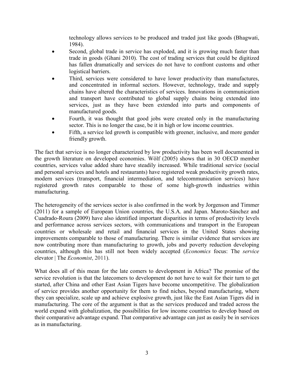technology allows services to be produced and traded just like goods (Bhagwati, 1984).

- Second, global trade in service has exploded, and it is growing much faster than trade in goods (Ghani 2010). The cost of trading services that could be digitized has fallen dramatically and services do not have to confront customs and other logistical barriers.
- Third, services were considered to have lower productivity than manufactures, and concentrated in informal sectors. However, technology, trade and supply chains have altered the characteristics of services. Innovations in communication and transport have contributed to global supply chains being extended into services, just as they have been extended into parts and components of manufactured goods.
- Fourth, it was thought that good jobs were created only in the manufacturing sector. This is no longer the case, be it in high or low income countries.
- Fifth, a service led growth is compatible with greener, inclusive, and more gender friendly growth.

The fact that service is no longer characterized by low productivity has been well documented in the growth literature on developed economies. Wölf (2005) shows that in 30 OECD member countries, services value added share have steadily increased. While traditional service (social and personal services and hotels and restaurants) have registered weak productivity growth rates, modern services (transport, financial intermediation, and telecommunication services) have registered growth rates comparable to those of some high-growth industries within manufacturing.

The heterogeneity of the services sector is also confirmed in the work by Jorgenson and Timmer (2011) for a sample of European Union countries, the U.S.A. and Japan. Maroto-Sánchez and Cuadrado-Roura (2009) have also identified important disparities in terms of productivity levels and performance across services sectors, with communications and transport in the European countries or wholesale and retail and financial services in the United States showing improvements comparable to those of manufacturing. There is similar evidence that services are now contributing more than manufacturing to growth, jobs and poverty reduction developing countries, although this has still not been widely accepted (*Economics* [focus: The](http://www.google.com/url?sa=t&rct=j&q=&esrc=s&frm=1&source=web&cd=1&cad=rja&uact=8&ved=0CCAQFjAA&url=http%3A%2F%2Fwww.economist.com%2Fnode%2F18712351&ei=Amq1U4jPB4issQTLnoA4&usg=AFQjCNEBSEVjTF-d2BLr9xJN30rdCvgflg&sig2=qPcEQFaFHDzp0PatKXFgMQ&bvm=bv.70138588,d.cWc) *service* [elevator | The](http://www.google.com/url?sa=t&rct=j&q=&esrc=s&frm=1&source=web&cd=1&cad=rja&uact=8&ved=0CCAQFjAA&url=http%3A%2F%2Fwww.economist.com%2Fnode%2F18712351&ei=Amq1U4jPB4issQTLnoA4&usg=AFQjCNEBSEVjTF-d2BLr9xJN30rdCvgflg&sig2=qPcEQFaFHDzp0PatKXFgMQ&bvm=bv.70138588,d.cWc) *Economist*, 2011).

What does all of this mean for the late comers to development in Africa? The promise of the service revolution is that the latecomers to development do not have to wait for their turn to get started, after China and other East Asian Tigers have become uncompetitive. The globalization of service provides another opportunity for them to find niches, beyond manufacturing, where they can specialize, scale up and achieve explosive growth, just like the East Asian Tigers did in manufacturing. The core of the argument is that as the services produced and traded across the world expand with globalization, the possibilities for low income countries to develop based on their comparative advantage expand. That comparative advantage can just as easily be in services as in manufacturing.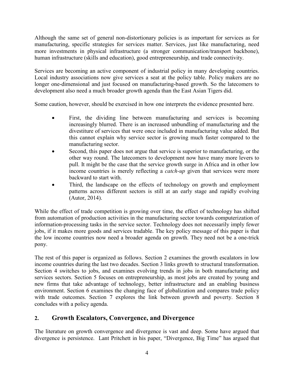Although the same set of general non-distortionary policies is as important for services as for manufacturing, specific strategies for services matter. Services, just like manufacturing, need more investments in physical infrastructure (a stronger communication/transport backbone), human infrastructure (skills and education), good entrepreneurship, and trade connectivity.

Services are becoming an active component of industrial policy in many developing countries. Local industry associations now give services a seat at the policy table. Policy makers are no longer one-dimensional and just focused on manufacturing-based growth. So the latecomers to development also need a much broader growth agenda than the East Asian Tigers did.

Some caution, however, should be exercised in how one interprets the evidence presented here.

- First, the dividing line between manufacturing and services is becoming increasingly blurred. There is an increased unbundling of manufacturing and the divestiture of services that were once included in manufacturing value added. But this cannot explain why service sector is growing much faster compared to the manufacturing sector.
- Second, this paper does not argue that service is superior to manufacturing, or the other way round. The latecomers to development now have many more levers to pull. It might be the case that the service growth surge in Africa and in other low income countries is merely reflecting a *catch-up* given that services were more backward to start with.
- Third, the landscape on the effects of technology on growth and employment patterns across different sectors is still at an early stage and rapidly evolving (Autor, 2014).

While the effect of trade competition is growing over time, the effect of technology has shifted from automation of production activities in the manufacturing sector towards computerization of information-processing tasks in the service sector. Technology does not necessarily imply fewer jobs, if it makes more goods and services tradable. The key policy message of this paper is that the low income countries now need a broader agenda on growth. They need not be a one-trick pony.

The rest of this paper is organized as follows. Section 2 examines the growth escalators in low income countries during the last two decades. Section 3 links growth to structural transformation. Section 4 switches to jobs, and examines evolving trends in jobs in both manufacturing and services sectors. Section 5 focuses on entrepreneurship, as most jobs are created by young and new firms that take advantage of technology, better infrastructure and an enabling business environment. Section 6 examines the changing face of globalization and compares trade policy with trade outcomes. Section 7 explores the link between growth and poverty. Section 8 concludes with a policy agenda.

# **2. Growth Escalators, Convergence, and Divergence**

The literature on growth convergence and divergence is vast and deep. Some have argued that divergence is persistence. Lant Pritchett in his paper, ["Divergence, Big Time"](http://www.econ.psu.edu/%7Eaur10/Econ%20570%20Fall%202009/Pritchett%20JEP%201997.pdf) has argued that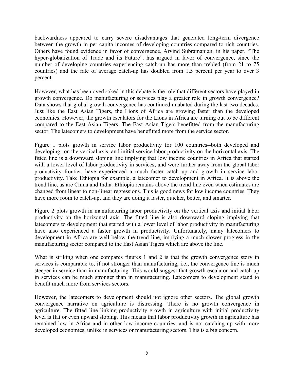backwardness appeared to carry severe disadvantages that generated long-term divergence between the growth in per capita incomes of developing countries compared to rich countries. Others have found evidence in favor of convergence. Arvind Subramanian, in his paper, ["The](http://www.gcf.ch/wp-content/uploads/2013/06/GCF_Subramanian-working-paper-3_-6.17.13.pdf) [hyper-globalization of Trade and its Future"](http://www.gcf.ch/wp-content/uploads/2013/06/GCF_Subramanian-working-paper-3_-6.17.13.pdf), has argued in favor of convergence, since the number of developing countries experiencing catch-up has more than trebled (from 21 to 75 countries) and the rate of average catch-up has doubled from 1.5 percent per year to over 3 percent.

However, what has been overlooked in this debate is the role that different sectors have played in growth convergence. Do manufacturing or services play a greater role in growth convergence? Data shows that global growth convergence has continued unabated during the last two decades. Just like the East Asian Tigers, the Lions of Africa are growing faster than the developed economies. However, the growth escalators for the Lions in Africa are turning out to be different compared to the East Asian Tigers. The East Asian Tigers benefitted from the manufacturing sector. The latecomers to development have benefitted more from the service sector.

Figure 1 plots growth in service labor productivity for 100 countries--both developed and developing--on the vertical axis, and initial service labor productivity on the horizontal axis. The fitted line is a downward sloping line implying that low income countries in Africa that started with a lower level of labor productivity in services, and were further away from the global labor productivity frontier, have experienced a much faster catch up and growth in service labor productivity. Take Ethiopia for example, a latecomer to development in Africa. It is above the trend line, as are China and India. Ethiopia remains above the trend line even when estimates are changed from linear to non-linear regressions. This is good news for low income countries. They have more room to catch-up, and they are doing it faster, quicker, better, and smarter.

Figure 2 plots growth in manufacturing labor productivity on the vertical axis and initial labor productivity on the horizontal axis. The fitted line is also downward sloping implying that latecomers to development that started with a lower level of labor productivity in manufacturing have also experienced a faster growth in productivity. Unfortunately, many latecomers to development in Africa are well below the trend line, implying a much slower progress in the manufacturing sector compared to the East Asian Tigers which are above the line.

What is striking when one compares figures 1 and 2 is that the growth convergence story in services is comparable to, if not stronger than manufacturing, i.e., the convergence line is much steeper in service than in manufacturing. This would suggest that growth escalator and catch up in services can be much stronger than in manufacturing. Latecomers to development stand to benefit much more from services sectors.

However, the latecomers to development should not ignore other sectors. The global growth convergence narrative on agriculture is distressing. There is no growth convergence in agriculture. The fitted line linking productivity growth in agriculture with initial productivity level is flat or even upward sloping. This means that labor productivity growth in agriculture has remained low in Africa and in other low income countries, and is not catching up with more developed economies, unlike in services or manufacturing sectors. This is a big concern.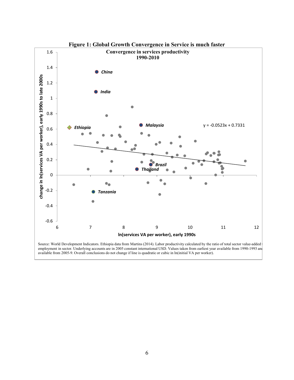

**Figure 1: Global Growth Convergence in Service is much faster**

Source: World Development Indicators. Ethiopia data from Martins (2014). Labor productivity calculated by the ratio of total sector value-added t employment in sector. Underlying accounts are in 2005 constant international USD. Values taken from earliest year available from 1990-1993 and available from 2005-9. Overall conclusions do not change if line is quadratic or cubic in ln(initial VA per worker).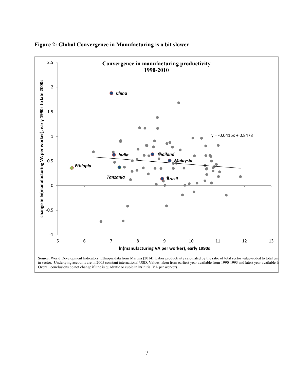



in sector. Underlying accounts are in 2005 constant international USD. Values taken from earliest year available from 1990-1993 and latest year available fr Overall conclusions do not change if line is quadratic or cubic in ln(initial VA per worker).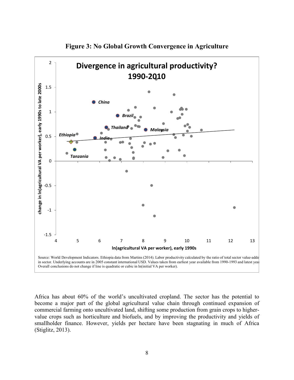

**Figure 3: No Global Growth Convergence in Agriculture**

Africa has about 60% of the world's uncultivated cropland. The sector has the potential to become a major part of the global agricultural value chain through continued expansion of commercial farming onto uncultivated land, shifting some production from grain crops to highervalue crops such as horticulture and biofuels, and by improving the productivity and yields of smallholder finance. However, yields per hectare have been stagnating in much of Africa (Stiglitz, 2013).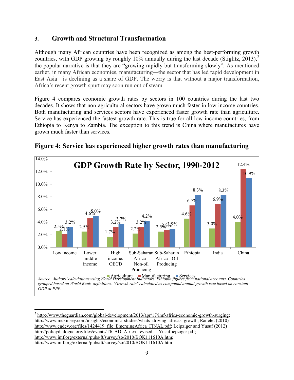## **3. Growth and Structural Transformation**

Although many African countries have been recognized as among the best-performing growth countries, with GDP growing by roughly 10% annually during the last decade (Stiglitz, [2](#page-10-0)013),<sup>2</sup> the popular narrative is that they are "growing rapidly but transforming slowly". As mentioned earlier, in many African economies, manufacturing—the sector that has led rapid development in East Asia—is declining as a share of GDP. The worry is that without a major transformation, Africa's recent growth spurt may soon run out of steam.

Figure 4 compares economic growth rates by sectors in 100 countries during the last two decades. It shows that non-agricultural sectors have grown much faster in low income countries. Both manufacturing and services sectors have experienced faster growth rate than agriculture. Service has experienced the fastest growth rate. This is true for all low income countries, from Ethiopia to Kenya to Zambia. The exception to this trend is China where manufactures have grown much faster than services.



**Figure 4: Service has experienced higher growth rates than manufacturing**

 $\overline{a}$ 

<span id="page-10-0"></span> $^2$  [http://www.theguardian.com/global-development/2013/apr/17/imf-africa-economic-growth-surging;](http://www.theguardian.com/global-development/2013/apr/17/imf-africa-economic-growth-surging) [http://www.mckinsey.com/insights/economic\\_studies/whats\\_driving\\_africas\\_growth;](http://www.mckinsey.com/insights/economic_studies/whats_driving_africas_growth) Radelet (2010) [http://www.cgdev.org/files/1424419\\_file\\_EmergingAfrica\\_FINAL.pdf;](http://www.cgdev.org/files/1424419_file_EmergingAfrica_FINAL.pdf) Leipziger and Yusuf (2012) http://policydialogue.org/files/events/TICAD Africa revised-1 Yusufliepziger.pdf; [http://www.imf.org/external/pubs/ft/survey/so/2010/BOK111610A.htm;](http://www.imf.org/external/pubs/ft/survey/so/2010/BOK111610A.htm) <http://www.imf.org/external/pubs/ft/survey/so/2010/BOK111610A.htm>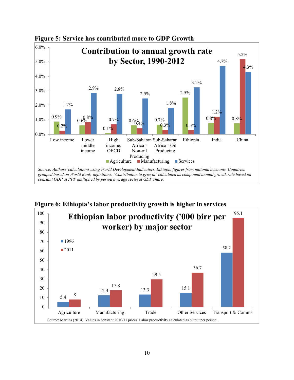

**Figure 5: Service has contributed more to GDP Growth**



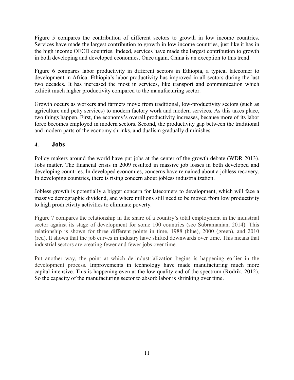Figure 5 compares the contribution of different sectors to growth in low income countries. Services have made the largest contribution to growth in low income countries, just like it has in the high income OECD countries. Indeed, services have made the largest contribution to growth in both developing and developed economies. Once again, China is an exception to this trend.

Figure 6 compares labor productivity in different sectors in Ethiopia, a typical latecomer to development in Africa. Ethiopia's labor productivity has improved in all sectors during the last two decades. It has increased the most in services, like transport and communication which exhibit much higher productivity compared to the manufacturing sector.

Growth occurs as workers and farmers move from traditional, low-productivity sectors (such as agriculture and petty services) to modern factory work and modern services. As this takes place, two things happen. First, the economy's overall productivity increases, because more of its labor force becomes employed in modern sectors. Second, the productivity gap between the traditional and modern parts of the economy shrinks, and dualism gradually diminishes.

## **4. Jobs**

Policy makers around the world have put jobs at the center of the growth debate (WDR 2013). Jobs matter. The financial crisis in 2009 resulted in massive job losses in both developed and developing countries. In developed economies, concerns have remained about a jobless recovery. In developing countries, there is rising concern about jobless industrialization.

Jobless growth is potentially a bigger concern for latecomers to development, which will face a massive demographic dividend, and where millions still need to be moved from low productivity to high productivity activities to eliminate poverty.

Figure 7 compares the relationship in the share of a country's total employment in the industrial sector against its stage of development for some 100 countries (see Subramanian, 2014). This relationship is shown for three different points in time, 1988 (blue), 2000 (green), and 2010 (red). It shows that the job curves in industry have shifted downwards over time. This means that industrial sectors are creating fewer and fewer jobs over time.

Put another way, the point at which de-industrialization begins is happening earlier in the development process. Improvements in technology have made manufacturing much more capital-intensive. This is happening even at the low-quality end of the spectrum (Rodrik, 2012). So the capacity of the manufacturing sector to absorb labor is shrinking over time.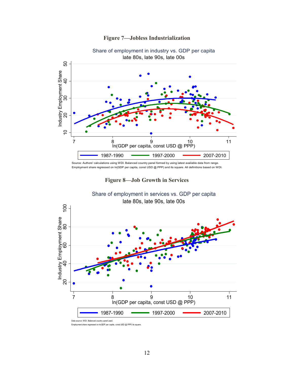



Source: Authors' calculations using WDI. Balanced country panel formed by using latest available data from range. Employment share regressed on ln(GDP per capita, const USD @ PPP) and its square. All definitions based on WDI.



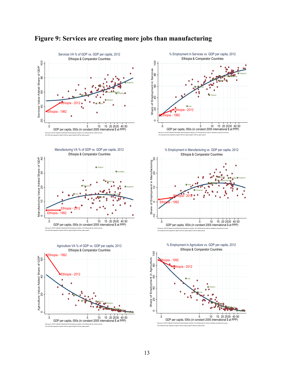

# **Figure 9: Services are creating more jobs than manufacturing**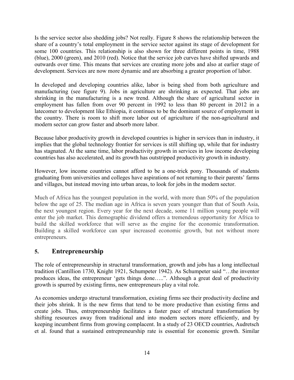Is the service sector also shedding jobs? Not really. Figure 8 shows the relationship between the share of a country's total employment in the service sector against its stage of development for some 100 countries. This relationship is also shown for three different points in time, 1988 (blue), 2000 (green), and 2010 (red). Notice that the service job curves have shifted upwards and outwards over time. This means that services are creating more jobs and also at earlier stage of development. Services are now more dynamic and are absorbing a greater proportion of labor.

In developed and developing countries alike, labor is being shed from both agriculture and manufacturing (see figure 9). Jobs in agriculture are shrinking as expected. That jobs are shrinking in the manufacturing is a new trend. Although the share of agricultural sector in employment has fallen from over 90 percent in 1992 to less than 80 percent in 2012 in a latecomer to development like Ethiopia, it continues to be the dominant source of employment in the country. There is room to shift more labor out of agriculture if the non-agricultural and modern sector can grow faster and absorb more labor.

Because labor productivity growth in developed countries is higher in services than in industry, it implies that the global technology frontier for services is still shifting up, while that for industry has stagnated. At the same time, labor productivity growth in services in low income developing countries has also accelerated, and its growth has outstripped productivity growth in industry.

However, low income countries cannot afford to be a one-trick pony. Thousands of students graduating from universities and colleges have aspirations of not returning to their parents' farms and villages, but instead moving into urban areas, to look for jobs in the modern sector.

Much of Africa has the youngest population in the world, with more than 50% of the population below the age of 25. The median age in Africa is seven years younger than that of South Asia, the next youngest region. Every year for the next decade, some 11 million young people will enter the job market. This demographic dividend offers a tremendous opportunity for Africa to build the skilled workforce that will serve as the engine for the economic transformation. Building a skilled workforce can spur increased economic growth, but not without more entrepreneurs.

# **5. Entrepreneurship**

The role of entrepreneurship in structural transformation, growth and jobs has a long intellectual tradition (Cantillion 1730, Knight 1921, Schumpeter 1942). As Schumpeter said "…the inventor produces ideas, the entrepreneur 'gets things done…..". Although a great deal of productivity growth is spurred by existing firms, new entrepreneurs play a vital role.

As economies undergo structural transformation, existing firms see their productivity decline and their jobs shrink. It is the new firms that tend to be more productive than existing firms and create jobs. Thus, entrepreneurship facilitates a faster pace of structural transformation by shifting resources away from traditional and into modern sectors more efficiently, and by keeping incumbent firms from growing complacent. In a study of 23 OECD countries, Audretsch et al. found that a sustained entrepreneurship rate is essential for economic growth. Similar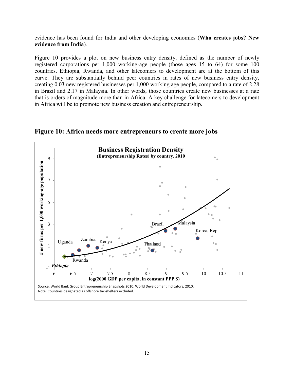evidence has been found for India and other developing economies (**[Who creates jobs? New](http://www.voxeu.org/article/who-creates-jobs-new-evidence-india)  [evidence from India](http://www.voxeu.org/article/who-creates-jobs-new-evidence-india)**).

Figure 10 provides a plot on new business entry density, defined as the number of newly registered corporations per 1,000 working-age people (those ages 15 to 64) for some 100 countries. Ethiopia, Rwanda, and other latecomers to development are at the bottom of this curve. They are substantially behind peer countries in rates of new business entry density, creating 0.03 new registered businesses per 1,000 working age people, compared to a rate of 2.28 in Brazil and 2.17 in Malaysia. In other words, those countries create new businesses at a rate that is orders of magnitude more than in Africa. A key challenge for latecomers to development in Africa will be to promote new business creation and entrepreneurship.



**Figure 10: Africa needs more entrepreneurs to create more jobs**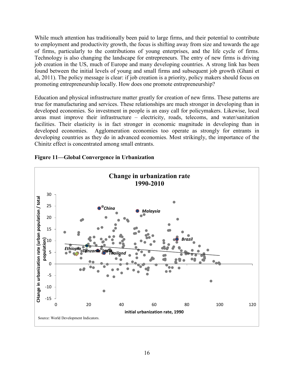While much attention has traditionally been paid to large firms, and their potential to contribute to employment and productivity growth, the focus is shifting away from size and towards the age of firms, particularly to the contributions of young enterprises, and the life cycle of firms. Technology is also changing the landscape for entrepreneurs. The entry of new firms is driving job creation in the US, much of Europe and many developing countries. A strong link has been found between the initial levels of young and small firms and subsequent job growth (Ghani et al, 2011). The policy message is clear: if job creation is a priority, policy makers should focus on promoting entrepreneurship locally. How does one promote entrepreneurship?

Education and physical infrastructure matter greatly for creation of new firms. These patterns are true for manufacturing and services. These relationships are much stronger in developing than in developed economies. So investment in people is an easy call for policymakers. Likewise, local areas must improve their infrastructure – electricity, roads, telecoms, and water/sanitation facilities. Their elasticity is in fact stronger in economic magnitude in developing than in developed economies. Agglomeration economies too operate as strongly for entrants in developing countries as they do in advanced economies. Most strikingly, the importance of the Chinitz effect is concentrated among small entrants.



**Figure 11—Global Convergence in Urbanization**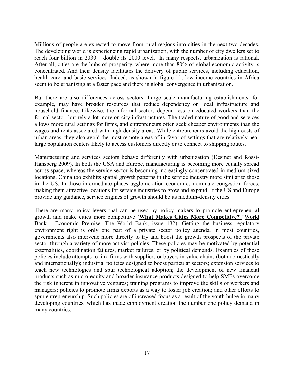Millions of people are expected to move from rural regions into cities in the next two decades. The developing world is experiencing rapid urbanization, with the number of city dwellers set to reach four billion in 2030 – double its 2000 level. In many respects, urbanization is rational. After all, cities are the hubs of prosperity, where more than 80% of global economic activity is concentrated. And their density facilitates the delivery of public services, including education, health care, and basic services. Indeed, as shown in figure 11, low income countries in Africa seem to be urbanizing at a faster pace and there is global convergence in urbanization.

But there are also differences across sectors. Large scale manufacturing establishments, for example, may have broader resources that reduce dependency on local infrastructure and household finance. Likewise, the informal sectors depend less on educated workers than the formal sector, but rely a lot more on city infrastructures. The traded nature of good and services allows more rural settings for firms, and entrepreneurs often seek cheaper environments than the wages and rents associated with high-density areas. While entrepreneurs avoid the high costs of urban areas, they also avoid the most remote areas of in favor of settings that are relatively near large population centers likely to access customers directly or to connect to shipping routes.

Manufacturing and services sectors behave differently with urbanization (Desmet and Rossi-Hansberg 2009). In both the USA and Europe, manufacturing is becoming more equally spread across space, whereas the service sector is becoming increasingly concentrated in medium-sized locations. China too exhibits spatial growth patterns in the service industry more similar to those in the US. In those intermediate places agglomeration economies dominate congestion forces, making them attractive locations for service industries to grow and expand. If the US and Europe provide any guidance, service engines of growth should be its medium-density cities.

There are many policy levers that can be used by policy makers to promote entrepreneurial growth and make cities more competitive (**[What Makes Cities More Competitive?](http://ideas.repec.org/a/wbk/prmecp/ep132.html)** ["World](http://ideas.repec.org/s/wbk/prmecp.html)  Bank - [Economic Premise,](http://ideas.repec.org/s/wbk/prmecp.html) The World Bank, issue 132). Getting the business regulatory environment right is only one part of a private sector policy agenda. In most countries, governments also intervene more directly to try and boost the growth prospects of the private sector through a variety of more activist policies. These policies may be motivated by potential externalities, coordination failures, market failures, or by political demands. Examples of these policies include attempts to link firms with suppliers or buyers in value chains (both domestically and internationally); industrial policies designed to boost particular sectors; extension services to teach new technologies and spur technological adoption; the development of new financial products such as micro-equity and broader insurance products designed to help SMEs overcome the risk inherent in innovative ventures; training programs to improve the skills of workers and managers; policies to promote firms exports as a way to foster job creation; and other efforts to spur entrepreneurship. Such policies are of increased focus as a result of the youth bulge in many developing countries, which has made employment creation the number one policy demand in many countries.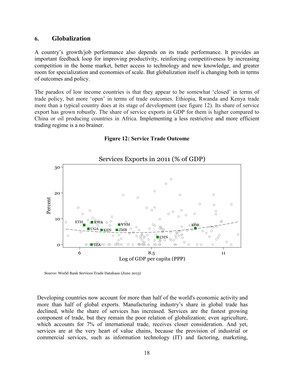### **6. Globalization**

A country's growth/job performance also depends on its trade performance. It provides an important feedback loop for improving productivity, reinforcing competitiveness by increasing competition in the home market, better access to technology and new knowledge, and greater room for specialization and economies of scale. But globalization itself is changing both in terms of outcomes and policy.

The paradox of low income countries is that they appear to be somewhat 'closed' in terms of trade policy, but more 'open' in terms of trade outcomes. Ethiopia, Rwanda and Kenya trade more than a typical country does at its stage of development (see figure 12). Its share of service export has grown robustly. The share of service exports in GDP for them is higher compared to China or oil producing countries in Africa. Implementing a less restrictive and more efficient trading regime is a no brainer.



#### **Figure 12: Service Trade Outcome**

Source: World Bank Services Trade Database (June 2013)

Developing countries now account for more than half of the world's economic activity and more than half of global exports. Manufacturing industry's share in global trade has declined, while the share of services has increased. Services are the fastest growing component of trade, but they remain the poor relation of globalization; even agriculture, which accounts for 7% of international trade, receives closer consideration. And yet, services are at the very heart of value chains, because the provision of industrial or commercial services, such as information technology (IT) and factoring, marketing,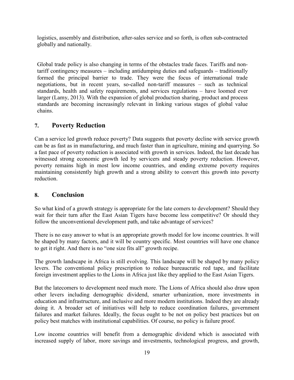logistics, assembly and distribution, after-sales service and so forth, is often sub-contracted globally and nationally.

Global trade policy is also changing in terms of the obstacles trade faces. Tariffs and nontariff contingency measures – including antidumping duties and safeguards – traditionally formed the principal barrier to trade. They were the focus of international trade negotiations, but in recent years, so-called non-tariff measures – such as technical standards, health and safety requirements, and services regulations – have loomed ever larger (Lamy, 2013). With the expansion of global production sharing, product and process standards are becoming increasingly relevant in linking various stages of global value chains.

## **7. Poverty Reduction**

Can a service led growth reduce poverty? Data suggests that poverty decline with service growth can be as fast as in manufacturing, and much faster than in agriculture, mining and quarrying. So a fast pace of poverty reduction is associated with growth in services. Indeed, the last decade has witnessed strong economic growth led by servicers and steady poverty reduction. However, poverty remains high in most low income countries, and ending extreme poverty requires maintaining consistently high growth and a strong ability to convert this growth into poverty reduction.

# **8. Conclusion**

So what kind of a growth strategy is appropriate for the late comers to development? Should they wait for their turn after the East Asian Tigers have become less competitive? Or should they follow the unconventional development path, and take advantage of services?

There is no easy answer to what is an appropriate growth model for low income countries. It will be shaped by many factors, and it will be country specific. Most countries will have one chance to get it right. And there is no "one size fits all" growth recipe.

The growth landscape in Africa is still evolving. This landscape will be shaped by many policy levers. The conventional policy prescription to reduce bureaucratic red tape, and facilitate foreign investment applies to the Lions in Africa just like they applied to the East Asian Tigers.

But the latecomers to development need much more. The Lions of Africa should also draw upon other levers including demographic dividend, smarter urbanization, more investments in education and infrastructure, and inclusive and more modern institutions. Indeed they are already doing it. A broader set of initiatives will help to reduce coordination failures, government failures and market failures. Ideally, the focus ought to be not on policy best practices but on policy best matches with institutional capabilities. Of course, no policy is failure proof.

Low income countries will benefit from a demographic dividend which is associated with increased supply of labor, more savings and investments, technological progress, and growth,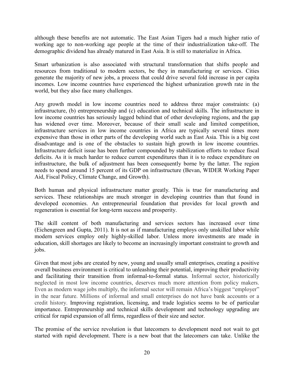although these benefits are not automatic. The East Asian Tigers had a much higher ratio of working age to non-working age people at the time of their industrialization take-off. The demographic dividend has already matured in East Asia. It is still to materialize in Africa.

Smart urbanization is also associated with structural transformation that shifts people and resources from traditional to modern sectors, be they in manufacturing or services. Cities generate the majority of new jobs, a process that could drive several fold increase in per capita incomes. Low income countries have experienced the highest urbanization growth rate in the world, but they also face many challenges.

Any growth model in low income countries need to address three major constraints: (a) infrastructure, (b) entrepreneurship and (c) education and technical skills. The infrastructure in low income countries has seriously lagged behind that of other developing regions, and the gap has widened over time. Moreover, because of their small scale and limited competition, infrastructure services in low income countries in Africa are typically several times more expensive than those in other parts of the developing world such as East Asia. This is a big cost disadvantage and is one of the obstacles to sustain high growth in low income countries. Infrastructure deficit issue has been further compounded by stabilization efforts to reduce fiscal deficits. As it is much harder to reduce current expenditures than it is to reduce expenditure on infrastructure, the bulk of adjustment has been consequently borne by the latter. The region needs to spend around 15 percent of its GDP on infrastructure (Bevan, WIDER Working Paper [Aid, Fiscal Policy, Climate Change, and Growth\)](http://www.wider.unu.edu/publications/working-papers/2012/en_GB/wp2012-077/).

Both human and physical infrastructure matter greatly*.* This is true for manufacturing and services. These relationships are much stronger in developing countries than that found in developed economies. An entrepreneurial foundation that provides for local growth and regeneration is essential for long-term success and prosperity.

The skill content of both manufacturing and services sectors has increased over time (Eichengreen and Gupta, 2011). It is not as if manufacturing employs only unskilled labor while modern services employ only highly-skilled labor. Unless more investments are made in education, skill shortages are likely to become an increasingly important constraint to growth and jobs.

Given that most jobs are created by new, young and usually small enterprises, creating a positive overall business environment is critical to unleashing their potential, improving their productivity and facilitating their transition from informal-to-formal status. Informal sector, historically neglected in most low income countries, deserves much more attention from policy makers. Even as modern wage jobs multiply, the informal sector will remain Africa's biggest "employer" in the near future. Millions of informal and small enterprises do not have bank accounts or a credit history. Improving registration, licensing, and trade logistics seems to be of particular importance. Entrepreneurship and technical skills development and technology upgrading are critical for rapid expansion of all firms, regardless of their size and sector.

The promise of the service revolution is that latecomers to development need not wait to get started with rapid development. There is a new boat that the latecomers can take. Unlike the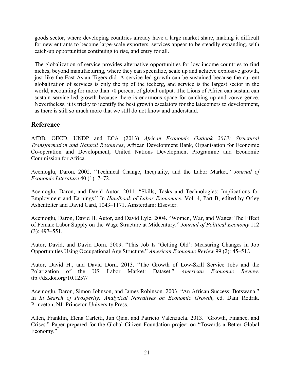goods sector, where developing countries already have a large market share, making it difficult for new entrants to become large-scale exporters, services appear to be steadily expanding, with catch-up opportunities continuing to rise, and entry for all.

The globalization of service provides alternative opportunities for low income countries to find niches, beyond manufacturing, where they can specialize, scale up and achieve explosive growth, just like the East Asian Tigers did. A service led growth can be sustained because the current globalization of services is only the tip of the iceberg, and service is the largest sector in the world, accounting for more than 70 percent of global output. The Lions of Africa can sustain can sustain service-led growth because there is enormous space for catching up and convergence. Nevertheless, it is tricky to identify the best growth escalators for the latecomers to development, as there is still so much more that we still do not know and understand.

# **Reference**

AfDB, OECD, UNDP and ECA (2013) *African Economic Outlook 2013: Structural Transformation and Natural Resources*, African Development Bank, Organisation for Economic Co-operation and Development, United Nations Development Programme and Economic Commission for Africa.

Acemoglu, Daron. 2002. "Technical Change, Inequality, and the Labor Market." *Journal of Economic Literature* 40 (1): 7–72.

Acemoglu, Daron, and David Autor. 2011. "Skills, Tasks and Technologies: Implications for Employment and Earnings." In *Handbook of Labor Economics*, Vol. 4, Part B, edited by Orley Ashenfelter and David Card, 1043–1171. Amsterdam: Elsevier.

Acemoglu, Daron, David H. Autor, and David Lyle. 2004. "Women, War, and Wages: The Effect of Female Labor Supply on the Wage Structure at Midcentury." *Journal of Political Economy* 112 (3): 497–551.

Autor, David, and David Dorn. 2009. "This Job Is 'Getting Old': Measuring Changes in Job Opportunities Using Occupational Age Structure." *American Economic Review* 99 (2): 45–51.\

Autor, David H., and David Dorn. 2013. "The Growth of Low-Skill Service Jobs and the Polarization of the US Labor Market: Dataset." *American Economic Review*. ttp://dx.doi.org/10.1257/

Acemoglu, Daron, Simon Johnson, and James Robinson. 2003. "An African Success: Botswana." In *In Search of Prosperity: Analytical Narratives on Economic Growth*, ed. Dani Rodrik. Princeton, NJ: Princeton University Press.

Allen, Franklin, Elena Carletti, Jun Qian, and Patricio Valenzuela. 2013. "Growth, Finance, and Crises." Paper prepared for the Global Citizen Foundation project on "Towards a Better Global Economy."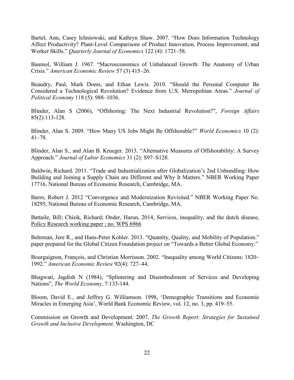Bartel, Ann, Casey Ichniowski, and Kathryn Shaw. 2007. "How Does Information Technology Affect Productivity? Plant-Level Comparisons of Product Innovation, Process Improvement, and Worker Skills." *Quarterly Journal of Economics* 122 (4): 1721–58.

Baumol, William J. 1967. "Macroeconomics of Unbalanced Growth: The Anatomy of Urban Crisis." *American Economic Review* 57 (3) 415–26.

Beaudry, Paul, Mark Doms, and Ethan Lewis. 2010. "Should the Personal Computer Be Considered a Technological Revolution? Evidence from U.S. Metropolitan Areas." *Journal of Political Economy* 118 (5): 988–1036.

Blinder, Alan S (2006), ["Offshoring: The Next Industrial Revolution?"](http://www.foreignaffairs.com/articles/61514/alan-s-blinder/offshoring-the-next-industrial-revolution), *Foreign Affairs* 85(2):113-128.

Blinder, Alan S. 2009. "How Many US Jobs Might Be Offshorable?" *World Economics* 10 (2): 41–78.

Blinder, Alan S., and Alan B. Krueger. 2013. "Alternative Measures of Offshorability: A Survey Approach." *Journal of Labor Economics* 31 (2): S97–S128.

Baldwin, Richard. 2011. "Trade and Industrialization after Globalization's 2nd Unbundling: How Building and Joining a Supply Chain are Different and Why It Matters." NBER Working Paper 17716, National Bureau of Economic Research, Cambridge, MA.

Barro, Robert J. 2012 "Convergence and Modernization Revisited." NBER Working Paper No. 18295, National Bureau of Economic Research, Cambridge, MA.

Battaile, Bill; Chisik, Richard; Onder, Harun, 2014, Services, inequality, and the dutch disease, [Policy Research working paper ; no. WPS 6966](http://intranet.worldbank.org/servlet/main?pagePK=64165883&piPK=64162626&theSitePK=469233&colTitle=Policy%20Research%20working%20paper%20;%20no.%20WPS%206966&ImgPagePK=ERR--1&siteName=INTRESEACRHMODEL&menuPK=64216089&callBack=)

Behrman, Jere R., and Hans-Peter Kohler. 2013. "Quantity, Quality, and Mobility of Population." paper prepared for the Global Citizen Foundation project on "Towards a Better Global Economy."

Bourguignon, François, and Christian Morrisson. 2002. "Inequality among World Citizens: 1820– 1992." *American Economic Review* 92(4): 727–44.

Bhagwati, Jagdish N (1984), ["Splintering and Disembodiment of Services and Developing](http://www3.interscience.wiley.com/journal/119533007/abstract?CRETRY=1&SRETRY=0)  [Nations"](http://www3.interscience.wiley.com/journal/119533007/abstract?CRETRY=1&SRETRY=0), *The World Economy*, 7:133-144.

Bloom, David E., and Jeffrey G. Williamson. 1998, 'Demographic Transitions and Economic Miracles in Emerging Asia', World Bank Economic Review, vol. 12, no. 3, pp. 419–55.

Commission on Growth and Development. 2007. *The Growth Report: Strategies for Sustained Growth and Inclusive Development*. Washington, DC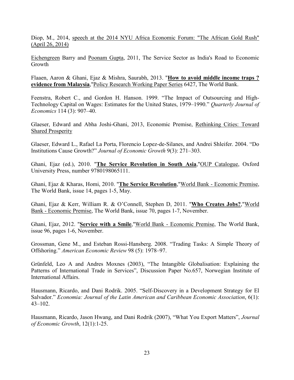Diop, M., 2014, speech at the 2014 NYU Africa Economic Forum: "The African Gold Rush" (April 26, 2014)

[Eichengreen](http://www.nber.org/people/barry_eichengreen) Barry and [Poonam Gupta,](http://www.nber.org/people/pgupta) 2011, The Service Sector as India's Road to Economic Growth

Flaaen, Aaron & Ghani, Ejaz & Mishra, Saurabh, 2013. "**[How to avoid middle income traps ?](http://ideas.repec.org/p/wbk/wbrwps/6427.html)  [evidence from Malaysia](http://ideas.repec.org/p/wbk/wbrwps/6427.html)**,["Policy Research Working Paper Series](http://ideas.repec.org/s/wbk/wbrwps.html) 6427, The World Bank.

Feenstra, Robert C., and Gordon H. Hanson. 1999. "The Impact of Outsourcing and High-Technology Capital on Wages: Estimates for the United States, 1979–1990." *Quarterly Journal of Economics* 114 (3): 907–40.

Glaeser, Edward and Abha Joshi-Ghani, 2013, Economic Premise, [Rethinking Cities: Toward](http://econpapers.repec.org/article/wbkprmecp/ep126.htm)  [Shared Prosperity](http://econpapers.repec.org/article/wbkprmecp/ep126.htm)

Glaeser, Edward L., Rafael La Porta, Florencio Lopez-de-Silanes, and Andrei Shleifer. 2004. "Do Institutions Cause Growth?" *Journal of Economic Growth* 9(3): 271–303.

Ghani, Ejaz (ed.), 2010. "**[The Service Revolution in South Asia](http://ideas.repec.org/b/oxp/obooks/9780198065111.html)**,["OUP Catalogue,](http://ideas.repec.org/s/oxp/obooks.html) Oxford University Press, number 9780198065111.

Ghani, Ejaz & Kharas, Homi, 2010. "**[The Service Revolution](http://ideas.repec.org/a/wbk/prmecp/ep14.html)**,"World Bank - [Economic Premise,](http://ideas.repec.org/s/wbk/prmecp.html) The World Bank, issue 14, pages 1-5, May.

Ghani, Ejaz & Kerr, William R. & O'Connell, Stephen D, 2011. "**[Who Creates Jobs?](http://ideas.repec.org/a/wbk/prmecp/ep70.html)**,["World](http://ideas.repec.org/s/wbk/prmecp.html) Bank - [Economic Premise,](http://ideas.repec.org/s/wbk/prmecp.html) The World Bank, issue 70, pages 1-7, November.

Ghani, Ejaz, 2012. "**[Service with a Smile](http://ideas.repec.org/a/wbk/prmecp/ep96.html)**,"World Bank - [Economic Premise,](http://ideas.repec.org/s/wbk/prmecp.html) The World Bank, issue 96, pages 1-6, November.

Grossman, Gene M., and Esteban Rossi-Hansberg. 2008. "Trading Tasks: A Simple Theory of Offshoring." *American Economic Review* 98 (5): 1978–97.

Grünfeld, Leo A and Andres Moxnes (2003), "The Intangible Globalisation: Explaining the Patterns of International Trade in Services", Discussion Paper No.657, Norwegian Institute of International Affairs.

Hausmann, Ricardo, and Dani Rodrik. 2005. "Self-Discovery in a Development Strategy for El Salvador." *Economia: Journal of the Latin American and Caribbean Economic Association*, 6(1): 43–102.

Hausmann, Ricardo, Jason Hwang, and Dani Rodrik (2007), ["What You Export Matters"](http://ideas.repec.org/a/kap/jecgro/v12y2007i1p1-25.html), *Journal of Economic Growth*, 12(1):1-25.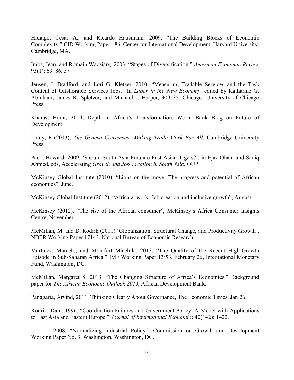Hidalgo, Cesar A., and Ricardo Hausmann. 2009. "The Building Blocks of Economic Complexity." CID Working Paper 186, Center for International Development, Harvard University, Cambridge, MA.

Imbs, Jean, and Romain Wacziarg. 2003. "Stages of Diversification." *American Economic Review*  93(1): 63–86. 57

Jensen, J. Bradford, and Lori G. Kletzer. 2010. "Measuring Tradable Services and the Task Content of Offshorable Services Jobs." In *Labor in the New Economy*, edited by Katharine G. Abraham, James R. Spletzer, and Michael J. Harper, 309–35. Chicago: University of Chicago Press

Kharas, Homi, 2014, Depth in Africa's Transformation, World Bank Blog on Future of Development

Lamy, P (2013), *[The Geneva Consensus: Making Trade Work For All](http://www.cambridge.org/gb/academic/subjects/law/international-trade-law/geneva-consensus-making-trade-work-all)*, Cambridge University Press

Pack, Howard. 2009, 'Should South Asia Emulate East Asian Tigers?', in Ejaz Ghani and Sadiq Ahmed, eds, Accelerating *Growth and Job Creation in South Asia*, OUP.

McKinsey Global Institute (2010), "Lions on the move: The progress and potential of African economies", June.

McKinsey Global Institute (2012), "Africa at work: Job creation and inclusive growth", August

McKinsey (2012), "The rise of the African consumer", McKinsey's Africa Consumer Insights Centre, November

McMillan, M. and D. Rodrik (2011) 'Globalization, Structural Change, and Productivity Growth', NBER Working Paper 17143, National Bureau of Economic Research.

Martinez, Marcelo, and Montfort Mlachila, 2013. "The Quality of the Recent High-Growth Episode in Sub-Saharan Africa." IMF Working Paper 13/53, February 26, International Monetary Fund, Washington, DC.

McMillan, Margaret S. 2013. "The Changing Structure of Africa's Economies." Background paper for *The African Economic Outlook 2013*, African Development Bank.

Panagaria, Arvind, 2011, Thinking Clearly About Governance, The Economic Times, Jan 26

Rodrik, Dani. 1996. "Coordination Failures and Government Policy: A Model with Applications to East Asia and Eastern Europe." *Journal of International Economics* 40(1–2): 1–22.

———. 2008. "Normalizing Industrial Policy." Commission on Growth and Development Working Paper No. 3, Washington, Washington, DC.